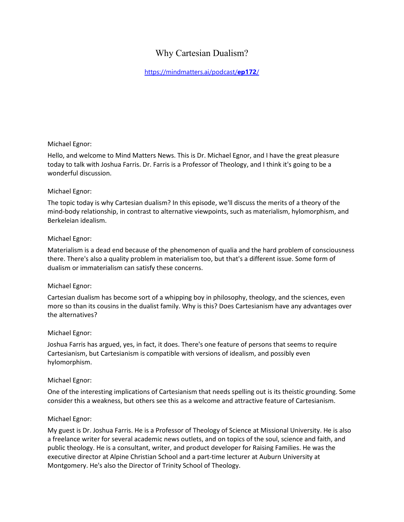# Why Cartesian Dualism?

[https://mindmatters.ai/podcast/](https://mindmatters.ai/podcast/ep172/)**ep172**/

#### Michael Egnor:

Hello, and welcome to Mind Matters News. This is Dr. Michael Egnor, and I have the great pleasure today to talk with Joshua Farris. Dr. Farris is a Professor of Theology, and I think it's going to be a wonderful discussion.

#### Michael Egnor:

The topic today is why Cartesian dualism? In this episode, we'll discuss the merits of a theory of the mind-body relationship, in contrast to alternative viewpoints, such as materialism, hylomorphism, and Berkeleian idealism.

#### Michael Egnor:

Materialism is a dead end because of the phenomenon of qualia and the hard problem of consciousness there. There's also a quality problem in materialism too, but that's a different issue. Some form of dualism or immaterialism can satisfy these concerns.

#### Michael Egnor:

Cartesian dualism has become sort of a whipping boy in philosophy, theology, and the sciences, even more so than its cousins in the dualist family. Why is this? Does Cartesianism have any advantages over the alternatives?

#### Michael Egnor:

Joshua Farris has argued, yes, in fact, it does. There's one feature of persons that seems to require Cartesianism, but Cartesianism is compatible with versions of idealism, and possibly even hylomorphism.

#### Michael Egnor:

One of the interesting implications of Cartesianism that needs spelling out is its theistic grounding. Some consider this a weakness, but others see this as a welcome and attractive feature of Cartesianism.

# Michael Egnor:

My guest is Dr. Joshua Farris. He is a Professor of Theology of Science at Missional University. He is also a freelance writer for several academic news outlets, and on topics of the soul, science and faith, and public theology. He is a consultant, writer, and product developer for Raising Families. He was the executive director at Alpine Christian School and a part-time lecturer at Auburn University at Montgomery. He's also the Director of Trinity School of Theology.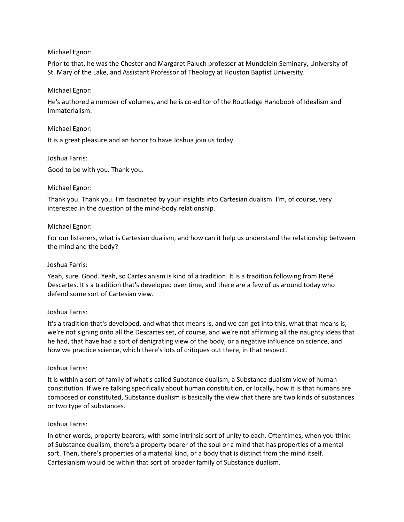# Michael Egnor:

Prior to that, he was the Chester and Margaret Paluch professor at Mundelein Seminary, University of St. Mary of the Lake, and Assistant Professor of Theology at Houston Baptist University.

### Michael Egnor:

He's authored a number of volumes, and he is co-editor of the Routledge Handbook of Idealism and Immaterialism.

#### Michael Egnor:

It is a great pleasure and an honor to have Joshua join us today.

#### Joshua Farris:

Good to be with you. Thank you.

#### Michael Egnor:

Thank you. Thank you. I'm fascinated by your insights into Cartesian dualism. I'm, of course, very interested in the question of the mind-body relationship.

#### Michael Egnor:

For our listeners, what is Cartesian dualism, and how can it help us understand the relationship between the mind and the body?

#### Joshua Farris:

Yeah, sure. Good. Yeah, so Cartesianism is kind of a tradition. It is a tradition following from René Descartes. It's a tradition that's developed over time, and there are a few of us around today who defend some sort of Cartesian view.

# Joshua Farris:

It's a tradition that's developed, and what that means is, and we can get into this, what that means is, we're not signing onto all the Descartes set, of course, and we're not affirming all the naughty ideas that he had, that have had a sort of denigrating view of the body, or a negative influence on science, and how we practice science, which there's lots of critiques out there, in that respect.

#### Joshua Farris:

It is within a sort of family of what's called Substance dualism, a Substance dualism view of human constitution. If we're talking specifically about human constitution, or locally, how it is that humans are composed or constituted, Substance dualism is basically the view that there are two kinds of substances or two type of substances.

# Joshua Farris:

In other words, property bearers, with some intrinsic sort of unity to each. Oftentimes, when you think of Substance dualism, there's a property bearer of the soul or a mind that has properties of a mental sort. Then, there's properties of a material kind, or a body that is distinct from the mind itself. Cartesianism would be within that sort of broader family of Substance dualism.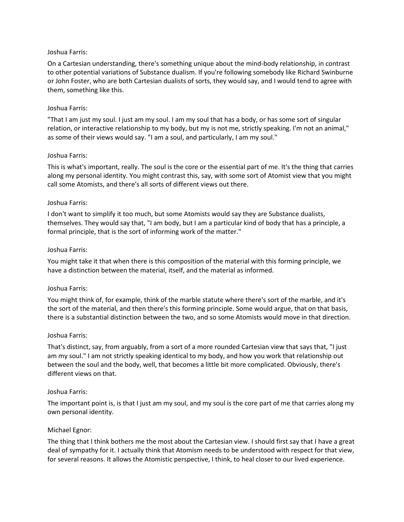#### Joshua Farris:

On a Cartesian understanding, there's something unique about the mind-body relationship, in contrast to other potential variations of Substance dualism. If you're following somebody like Richard Swinburne or John Foster, who are both Cartesian dualists of sorts, they would say, and I would tend to agree with them, something like this.

#### Joshua Farris:

"That I am just my soul. I just am my soul. I am my soul that has a body, or has some sort of singular relation, or interactive relationship to my body, but my is not me, strictly speaking. I'm not an animal," as some of their views would say. "I am a soul, and particularly, I am my soul."

#### Joshua Farris:

This is what's important, really. The soul is the core or the essential part of me. It's the thing that carries along my personal identity. You might contrast this, say, with some sort of Atomist view that you might call some Atomists, and there's all sorts of different views out there.

#### Joshua Farris:

I don't want to simplify it too much, but some Atomists would say they are Substance dualists, themselves. They would say that, "I am body, but I am a particular kind of body that has a principle, a formal principle, that is the sort of informing work of the matter."

#### Joshua Farris:

You might take it that when there is this composition of the material with this forming principle, we have a distinction between the material, itself, and the material as informed.

# Joshua Farris:

You might think of, for example, think of the marble statute where there's sort of the marble, and it's the sort of the material, and then there's this forming principle. Some would argue, that on that basis, there is a substantial distinction between the two, and so some Atomists would move in that direction.

#### Joshua Farris:

That's distinct, say, from arguably, from a sort of a more rounded Cartesian view that says that, "I just am my soul." I am not strictly speaking identical to my body, and how you work that relationship out between the soul and the body, well, that becomes a little bit more complicated. Obviously, there's different views on that.

#### Joshua Farris:

The important point is, is that I just am my soul, and my soul is the core part of me that carries along my own personal identity.

#### Michael Egnor:

The thing that I think bothers me the most about the Cartesian view. I should first say that I have a great deal of sympathy for it. I actually think that Atomism needs to be understood with respect for that view, for several reasons. It allows the Atomistic perspective, I think, to heal closer to our lived experience.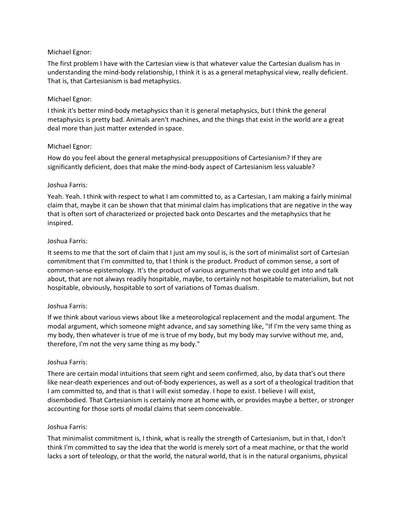# Michael Egnor:

The first problem I have with the Cartesian view is that whatever value the Cartesian dualism has in understanding the mind-body relationship, I think it is as a general metaphysical view, really deficient. That is, that Cartesianism is bad metaphysics.

# Michael Egnor:

I think it's better mind-body metaphysics than it is general metaphysics, but I think the general metaphysics is pretty bad. Animals aren't machines, and the things that exist in the world are a great deal more than just matter extended in space.

# Michael Egnor:

How do you feel about the general metaphysical presuppositions of Cartesianism? If they are significantly deficient, does that make the mind-body aspect of Cartesianism less valuable?

# Joshua Farris:

Yeah. Yeah. I think with respect to what I am committed to, as a Cartesian, I am making a fairly minimal claim that, maybe it can be shown that that minimal claim has implications that are negative in the way that is often sort of characterized or projected back onto Descartes and the metaphysics that he inspired.

# Joshua Farris:

It seems to me that the sort of claim that I just am my soul is, is the sort of minimalist sort of Cartesian commitment that I'm committed to, that I think is the product. Product of common sense, a sort of common-sense epistemology. It's the product of various arguments that we could get into and talk about, that are not always readily hospitable, maybe, to certainly not hospitable to materialism, but not hospitable, obviously, hospitable to sort of variations of Tomas dualism.

# Joshua Farris:

If we think about various views about like a meteorological replacement and the modal argument. The modal argument, which someone might advance, and say something like, "If I'm the very same thing as my body, then whatever is true of me is true of my body, but my body may survive without me, and, therefore, I'm not the very same thing as my body."

# Joshua Farris:

There are certain modal intuitions that seem right and seem confirmed, also, by data that's out there like near-death experiences and out-of-body experiences, as well as a sort of a theological tradition that I am committed to, and that is that I will exist someday. I hope to exist. I believe I will exist, disembodied. That Cartesianism is certainly more at home with, or provides maybe a better, or stronger accounting for those sorts of modal claims that seem conceivable.

# Joshua Farris:

That minimalist commitment is, I think, what is really the strength of Cartesianism, but in that, I don't think I'm committed to say the idea that the world is merely sort of a meat machine, or that the world lacks a sort of teleology, or that the world, the natural world, that is in the natural organisms, physical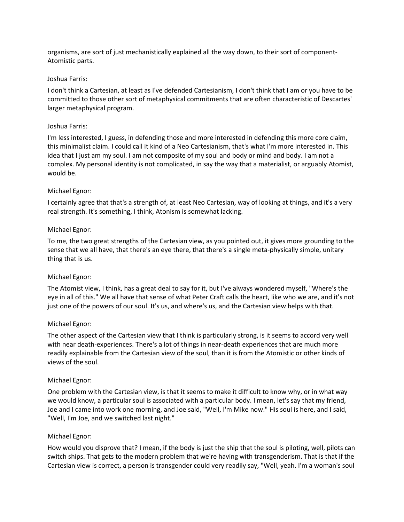organisms, are sort of just mechanistically explained all the way down, to their sort of component-Atomistic parts.

#### Joshua Farris:

I don't think a Cartesian, at least as I've defended Cartesianism, I don't think that I am or you have to be committed to those other sort of metaphysical commitments that are often characteristic of Descartes' larger metaphysical program.

#### Joshua Farris:

I'm less interested, I guess, in defending those and more interested in defending this more core claim, this minimalist claim. I could call it kind of a Neo Cartesianism, that's what I'm more interested in. This idea that I just am my soul. I am not composite of my soul and body or mind and body. I am not a complex. My personal identity is not complicated, in say the way that a materialist, or arguably Atomist, would be.

#### Michael Egnor:

I certainly agree that that's a strength of, at least Neo Cartesian, way of looking at things, and it's a very real strength. It's something, I think, Atonism is somewhat lacking.

#### Michael Egnor:

To me, the two great strengths of the Cartesian view, as you pointed out, it gives more grounding to the sense that we all have, that there's an eye there, that there's a single meta-physically simple, unitary thing that is us.

# Michael Egnor:

The Atomist view, I think, has a great deal to say for it, but I've always wondered myself, "Where's the eye in all of this." We all have that sense of what Peter Craft calls the heart, like who we are, and it's not just one of the powers of our soul. It's us, and where's us, and the Cartesian view helps with that.

#### Michael Egnor:

The other aspect of the Cartesian view that I think is particularly strong, is it seems to accord very well with near death-experiences. There's a lot of things in near-death experiences that are much more readily explainable from the Cartesian view of the soul, than it is from the Atomistic or other kinds of views of the soul.

#### Michael Egnor:

One problem with the Cartesian view, is that it seems to make it difficult to know why, or in what way we would know, a particular soul is associated with a particular body. I mean, let's say that my friend, Joe and I came into work one morning, and Joe said, "Well, I'm Mike now." His soul is here, and I said, "Well, I'm Joe, and we switched last night."

#### Michael Egnor:

How would you disprove that? I mean, if the body is just the ship that the soul is piloting, well, pilots can switch ships. That gets to the modern problem that we're having with transgenderism. That is that if the Cartesian view is correct, a person is transgender could very readily say, "Well, yeah. I'm a woman's soul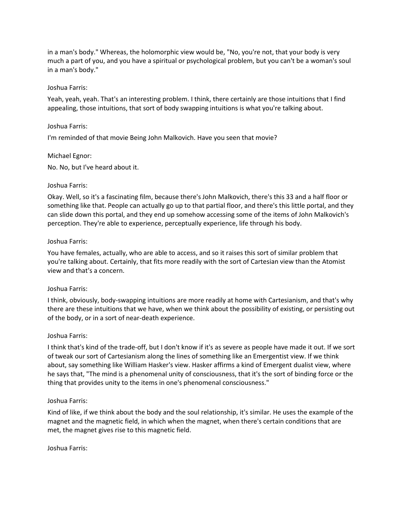in a man's body." Whereas, the holomorphic view would be, "No, you're not, that your body is very much a part of you, and you have a spiritual or psychological problem, but you can't be a woman's soul in a man's body."

# Joshua Farris:

Yeah, yeah, yeah. That's an interesting problem. I think, there certainly are those intuitions that I find appealing, those intuitions, that sort of body swapping intuitions is what you're talking about.

#### Joshua Farris:

I'm reminded of that movie Being John Malkovich. Have you seen that movie?

### Michael Egnor:

No. No, but I've heard about it.

#### Joshua Farris:

Okay. Well, so it's a fascinating film, because there's John Malkovich, there's this 33 and a half floor or something like that. People can actually go up to that partial floor, and there's this little portal, and they can slide down this portal, and they end up somehow accessing some of the items of John Malkovich's perception. They're able to experience, perceptually experience, life through his body.

#### Joshua Farris:

You have females, actually, who are able to access, and so it raises this sort of similar problem that you're talking about. Certainly, that fits more readily with the sort of Cartesian view than the Atomist view and that's a concern.

# Joshua Farris:

I think, obviously, body-swapping intuitions are more readily at home with Cartesianism, and that's why there are these intuitions that we have, when we think about the possibility of existing, or persisting out of the body, or in a sort of near-death experience.

# Joshua Farris:

I think that's kind of the trade-off, but I don't know if it's as severe as people have made it out. If we sort of tweak our sort of Cartesianism along the lines of something like an Emergentist view. If we think about, say something like William Hasker's view. Hasker affirms a kind of Emergent dualist view, where he says that, "The mind is a phenomenal unity of consciousness, that it's the sort of binding force or the thing that provides unity to the items in one's phenomenal consciousness."

# Joshua Farris:

Kind of like, if we think about the body and the soul relationship, it's similar. He uses the example of the magnet and the magnetic field, in which when the magnet, when there's certain conditions that are met, the magnet gives rise to this magnetic field.

# Joshua Farris: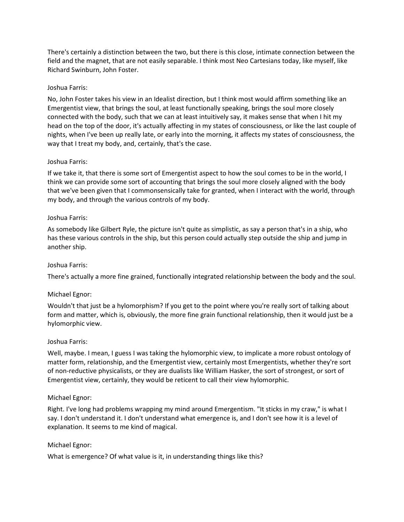There's certainly a distinction between the two, but there is this close, intimate connection between the field and the magnet, that are not easily separable. I think most Neo Cartesians today, like myself, like Richard Swinburn, John Foster.

# Joshua Farris:

No, John Foster takes his view in an Idealist direction, but I think most would affirm something like an Emergentist view, that brings the soul, at least functionally speaking, brings the soul more closely connected with the body, such that we can at least intuitively say, it makes sense that when I hit my head on the top of the door, it's actually affecting in my states of consciousness, or like the last couple of nights, when I've been up really late, or early into the morning, it affects my states of consciousness, the way that I treat my body, and, certainly, that's the case.

# Joshua Farris:

If we take it, that there is some sort of Emergentist aspect to how the soul comes to be in the world, I think we can provide some sort of accounting that brings the soul more closely aligned with the body that we've been given that I commonsensically take for granted, when I interact with the world, through my body, and through the various controls of my body.

# Joshua Farris:

As somebody like Gilbert Ryle, the picture isn't quite as simplistic, as say a person that's in a ship, who has these various controls in the ship, but this person could actually step outside the ship and jump in another ship.

# Joshua Farris:

There's actually a more fine grained, functionally integrated relationship between the body and the soul.

# Michael Egnor:

Wouldn't that just be a hylomorphism? If you get to the point where you're really sort of talking about form and matter, which is, obviously, the more fine grain functional relationship, then it would just be a hylomorphic view.

# Joshua Farris:

Well, maybe. I mean, I guess I was taking the hylomorphic view, to implicate a more robust ontology of matter form, relationship, and the Emergentist view, certainly most Emergentists, whether they're sort of non-reductive physicalists, or they are dualists like William Hasker, the sort of strongest, or sort of Emergentist view, certainly, they would be reticent to call their view hylomorphic.

# Michael Egnor:

Right. I've long had problems wrapping my mind around Emergentism. "It sticks in my craw," is what I say. I don't understand it. I don't understand what emergence is, and I don't see how it is a level of explanation. It seems to me kind of magical.

# Michael Egnor:

What is emergence? Of what value is it, in understanding things like this?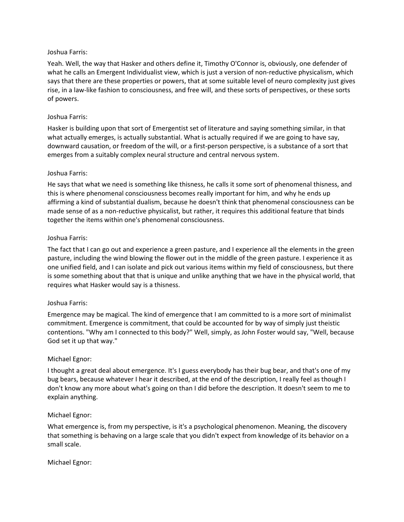### Joshua Farris:

Yeah. Well, the way that Hasker and others define it, Timothy O'Connor is, obviously, one defender of what he calls an Emergent Individualist view, which is just a version of non-reductive physicalism, which says that there are these properties or powers, that at some suitable level of neuro complexity just gives rise, in a law-like fashion to consciousness, and free will, and these sorts of perspectives, or these sorts of powers.

# Joshua Farris:

Hasker is building upon that sort of Emergentist set of literature and saying something similar, in that what actually emerges, is actually substantial. What is actually required if we are going to have say, downward causation, or freedom of the will, or a first-person perspective, is a substance of a sort that emerges from a suitably complex neural structure and central nervous system.

#### Joshua Farris:

He says that what we need is something like thisness, he calls it some sort of phenomenal thisness, and this is where phenomenal consciousness becomes really important for him, and why he ends up affirming a kind of substantial dualism, because he doesn't think that phenomenal consciousness can be made sense of as a non-reductive physicalist, but rather, it requires this additional feature that binds together the items within one's phenomenal consciousness.

#### Joshua Farris:

The fact that I can go out and experience a green pasture, and I experience all the elements in the green pasture, including the wind blowing the flower out in the middle of the green pasture. I experience it as one unified field, and I can isolate and pick out various items within my field of consciousness, but there is some something about that that is unique and unlike anything that we have in the physical world, that requires what Hasker would say is a thisness.

# Joshua Farris:

Emergence may be magical. The kind of emergence that I am committed to is a more sort of minimalist commitment. Emergence is commitment, that could be accounted for by way of simply just theistic contentions. "Why am I connected to this body?" Well, simply, as John Foster would say, "Well, because God set it up that way."

# Michael Egnor:

I thought a great deal about emergence. It's I guess everybody has their bug bear, and that's one of my bug bears, because whatever I hear it described, at the end of the description, I really feel as though I don't know any more about what's going on than I did before the description. It doesn't seem to me to explain anything.

# Michael Egnor:

What emergence is, from my perspective, is it's a psychological phenomenon. Meaning, the discovery that something is behaving on a large scale that you didn't expect from knowledge of its behavior on a small scale.

# Michael Egnor: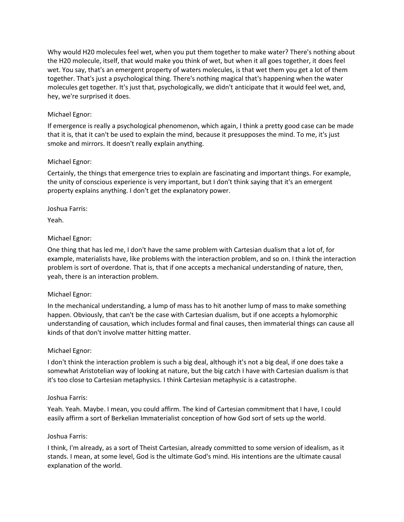Why would H20 molecules feel wet, when you put them together to make water? There's nothing about the H20 molecule, itself, that would make you think of wet, but when it all goes together, it does feel wet. You say, that's an emergent property of waters molecules, is that wet them you get a lot of them together. That's just a psychological thing. There's nothing magical that's happening when the water molecules get together. It's just that, psychologically, we didn't anticipate that it would feel wet, and, hey, we're surprised it does.

# Michael Egnor:

If emergence is really a psychological phenomenon, which again, I think a pretty good case can be made that it is, that it can't be used to explain the mind, because it presupposes the mind. To me, it's just smoke and mirrors. It doesn't really explain anything.

# Michael Egnor:

Certainly, the things that emergence tries to explain are fascinating and important things. For example, the unity of conscious experience is very important, but I don't think saying that it's an emergent property explains anything. I don't get the explanatory power.

# Joshua Farris:

Yeah.

# Michael Egnor:

One thing that has led me, I don't have the same problem with Cartesian dualism that a lot of, for example, materialists have, like problems with the interaction problem, and so on. I think the interaction problem is sort of overdone. That is, that if one accepts a mechanical understanding of nature, then, yeah, there is an interaction problem.

# Michael Egnor:

In the mechanical understanding, a lump of mass has to hit another lump of mass to make something happen. Obviously, that can't be the case with Cartesian dualism, but if one accepts a hylomorphic understanding of causation, which includes formal and final causes, then immaterial things can cause all kinds of that don't involve matter hitting matter.

# Michael Egnor:

I don't think the interaction problem is such a big deal, although it's not a big deal, if one does take a somewhat Aristotelian way of looking at nature, but the big catch I have with Cartesian dualism is that it's too close to Cartesian metaphysics. I think Cartesian metaphysic is a catastrophe.

# Joshua Farris:

Yeah. Yeah. Maybe. I mean, you could affirm. The kind of Cartesian commitment that I have, I could easily affirm a sort of Berkelian Immaterialist conception of how God sort of sets up the world.

# Joshua Farris:

I think, I'm already, as a sort of Theist Cartesian, already committed to some version of idealism, as it stands. I mean, at some level, God is the ultimate God's mind. His intentions are the ultimate causal explanation of the world.